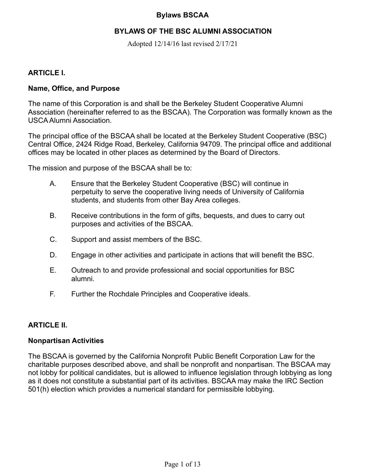# **BYLAWS OF THE BSC ALUMNI ASSOCIATION**

Adopted 12/14/16 last revised 2/17/21

# **ARTICLE I.**

### **Name, Office, and Purpose**

The name of this Corporation is and shall be the Berkeley Student Cooperative Alumni Association (hereinafter referred to as the BSCAA)*.* The Corporation was formally known as the USCA Alumni Association.

The principal office of the BSCAA shall be located at the Berkeley Student Cooperative (BSC) Central Office, 2424 Ridge Road, Berkeley, California 94709. The principal office and additional offices may be located in other places as determined by the Board of Directors.

The mission and purpose of the BSCAA shall be to:

- A. Ensure that the Berkeley Student Cooperative (BSC) will continue in perpetuity to serve the cooperative living needs of University of California students, and students from other Bay Area colleges.
- B. Receive contributions in the form of gifts, bequests, and dues to carry out purposes and activities of the BSCAA.
- C. Support and assist members of the BSC.
- D. Engage in other activities and participate in actions that will benefit the BSC.
- E. Outreach to and provide professional and social opportunities for BSC alumni.
- F. Further the Rochdale Principles and Cooperative ideals.

### **ARTICLE II.**

#### **Nonpartisan Activities**

The BSCAA is governed by the California Nonprofit Public Benefit Corporation Law for the charitable purposes described above, and shall be nonprofit and nonpartisan. The BSCAA may not lobby for political candidates, but is allowed to influence legislation through lobbying as long as it does not constitute a substantial part of its activities. BSCAA may make the IRC Section 501(h) election which provides a numerical standard for permissible lobbying.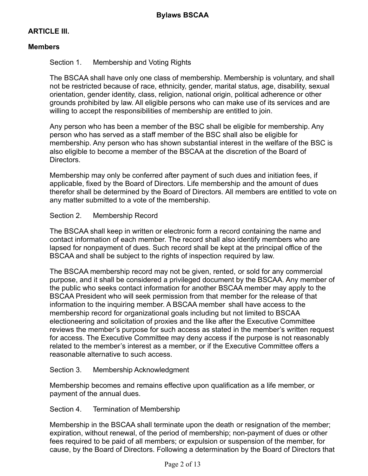# **ARTICLE III.**

# **Members**

Section 1. Membership and Voting Rights

The BSCAA shall have only one class of membership. Membership is voluntary, and shall not be restricted because of race, ethnicity, gender, marital status, age, disability, sexual orientation, gender identity, class, religion, national origin, political adherence or other grounds prohibited by law. All eligible persons who can make use of its services and are willing to accept the responsibilities of membership are entitled to join.

Any person who has been a member of the BSC shall be eligible for membership. Any person who has served as a staff member of the BSC shall also be eligible for membership. Any person who has shown substantial interest in the welfare of the BSC is also eligible to become a member of the BSCAA at the discretion of the Board of Directors.

Membership may only be conferred after payment of such dues and initiation fees, if applicable, fixed by the Board of Directors. Life membership and the amount of dues therefor shall be determined by the Board of Directors. All members are entitled to vote on any matter submitted to a vote of the membership.

### Section 2. Membership Record

The BSCAA shall keep in written or electronic form a record containing the name and contact information of each member. The record shall also identify members who are lapsed for nonpayment of dues. Such record shall be kept at the principal office of the BSCAA and shall be subject to the rights of inspection required by law.

The BSCAA membership record may not be given, rented, or sold for any commercial purpose, and it shall be considered a privileged document by the BSCAA. Any member of the public who seeks contact information for another BSCAA member may apply to the BSCAA President who will seek permission from that member for the release of that information to the inquiring member. A BSCAA member shall have access to the membership record for organizational goals including but not limited to BSCAA electioneering and solicitation of proxies and the like after the Executive Committee reviews the member's purpose for such access as stated in the member's written request for access. The Executive Committee may deny access if the purpose is not reasonably related to the member's interest as a member, or if the Executive Committee offers a reasonable alternative to such access.

### Section 3. Membership Acknowledgment

Membership becomes and remains effective upon qualification as a life member, or payment of the annual dues.

### Section 4. Termination of Membership

Membership in the BSCAA shall terminate upon the death or resignation of the member; expiration, without renewal, of the period of membership; non-payment of dues or other fees required to be paid of all members; or expulsion or suspension of the member, for cause, by the Board of Directors. Following a determination by the Board of Directors that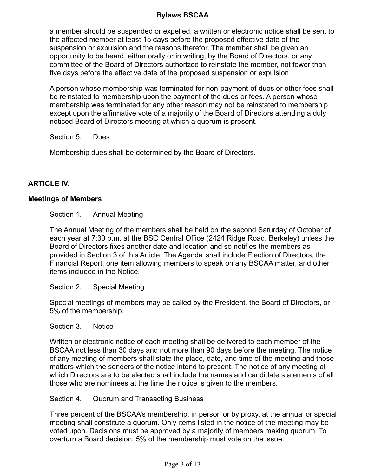a member should be suspended or expelled, a written or electronic notice shall be sent to the affected member at least 15 days before the proposed effective date of the suspension or expulsion and the reasons therefor. The member shall be given an opportunity to be heard, either orally or in writing, by the Board of Directors, or any committee of the Board of Directors authorized to reinstate the member, not fewer than five days before the effective date of the proposed suspension or expulsion.

A person whose membership was terminated for non-payment of dues or other fees shall be reinstated to membership upon the payment of the dues or fees. A person whose membership was terminated for any other reason may not be reinstated to membership except upon the affirmative vote of a majority of the Board of Directors attending a duly noticed Board of Directors meeting at which a quorum is present.

Section 5. Dues

Membership dues shall be determined by the Board of Directors.

# **ARTICLE IV.**

#### **Meetings of Members**

Section 1. Annual Meeting

The Annual Meeting of the members shall be held on the second Saturday of October of each year at 7:30 p.m. at the BSC Central Office (2424 Ridge Road, Berkeley) unless the Board of Directors fixes another date and location and so notifies the members as provided in Section 3 of this Article. The Agenda shall include Election of Directors, the Financial Report, one item allowing members to speak on any BSCAA matter, and other items included in the Notice.

Section 2. Special Meeting

Special meetings of members may be called by the President, the Board of Directors, or 5% of the membership.

Section 3. Notice

Written or electronic notice of each meeting shall be delivered to each member of the BSCAA not less than 30 days and not more than 90 days before the meeting. The notice of any meeting of members shall state the place, date, and time of the meeting and those matters which the senders of the notice intend to present. The notice of any meeting at which Directors are to be elected shall include the names and candidate statements of all those who are nominees at the time the notice is given to the members.

Section 4. Quorum and Transacting Business

Three percent of the BSCAA's membership, in person or by proxy, at the annual or special meeting shall constitute a quorum. Only items listed in the notice of the meeting may be voted upon. Decisions must be approved by a majority of members making quorum. To overturn a Board decision, 5% of the membership must vote on the issue.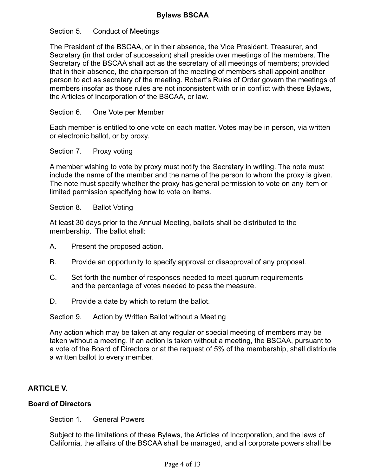# Section 5. Conduct of Meetings

The President of the BSCAA, or in their absence, the Vice President, Treasurer, and Secretary (in that order of succession) shall preside over meetings of the members. The Secretary of the BSCAA shall act as the secretary of all meetings of members; provided that in their absence, the chairperson of the meeting of members shall appoint another person to act as secretary of the meeting. Robert's Rules of Order govern the meetings of members insofar as those rules are not inconsistent with or in conflict with these Bylaws, the Articles of Incorporation of the BSCAA, or law.

Section 6. One Vote per Member

Each member is entitled to one vote on each matter. Votes may be in person, via written or electronic ballot, or by proxy.

Section 7. Proxy voting

A member wishing to vote by proxy must notify the Secretary in writing. The note must include the name of the member and the name of the person to whom the proxy is given. The note must specify whether the proxy has general permission to vote on any item or limited permission specifying how to vote on items.

Section 8. Ballot Voting

At least 30 days prior to the Annual Meeting, ballots shall be distributed to the membership. The ballot shall:

- A. Present the proposed action.
- B. Provide an opportunity to specify approval or disapproval of any proposal.
- C. Set forth the number of responses needed to meet quorum requirements and the percentage of votes needed to pass the measure.
- D. Provide a date by which to return the ballot.

Section 9. Action by Written Ballot without a Meeting

Any action which may be taken at any regular or special meeting of members may be taken without a meeting. If an action is taken without a meeting, the BSCAA, pursuant to a vote of the Board of Directors or at the request of 5% of the membership, shall distribute a written ballot to every member.

# **ARTICLE V.**

### **Board of Directors**

Section 1. General Powers

Subject to the limitations of these Bylaws, the Articles of Incorporation, and the laws of California, the affairs of the BSCAA shall be managed, and all corporate powers shall be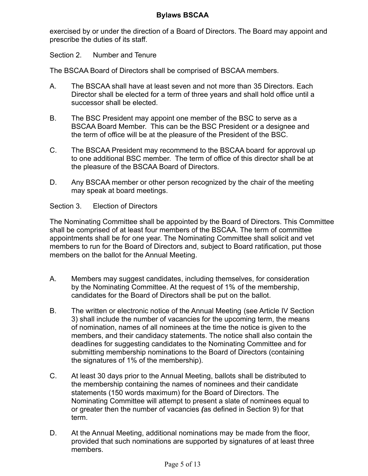exercised by or under the direction of a Board of Directors. The Board may appoint and prescribe the duties of its staff.

Section 2. Number and Tenure

The BSCAA Board of Directors shall be comprised of BSCAA members.

- A. The BSCAA shall have at least seven and not more than 35 Directors. Each Director shall be elected for a term of three years and shall hold office until a successor shall be elected.
- B. The BSC President may appoint one member of the BSC to serve as a BSCAA Board Member. This can be the BSC President or a designee and the term of office will be at the pleasure of the President of the BSC.
- C. The BSCAA President may recommend to the BSCAA board for approval up to one additional BSC member. The term of office of this director shall be at the pleasure of the BSCAA Board of Directors.
- D. Any BSCAA member or other person recognized by the chair of the meeting may speak at board meetings.

#### Section 3. Election of Directors

The Nominating Committee shall be appointed by the Board of Directors. This Committee shall be comprised of at least four members of the BSCAA. The term of committee appointments shall be for one year. The Nominating Committee shall solicit and vet members to run for the Board of Directors and, subject to Board ratification, put those members on the ballot for the Annual Meeting.

- A. Members may suggest candidates, including themselves, for consideration by the Nominating Committee. At the request of 1% of the membership, candidates for the Board of Directors shall be put on the ballot.
- B. The written or electronic notice of the Annual Meeting (see Article IV Section 3) shall include the number of vacancies for the upcoming term, the means of nomination, names of all nominees at the time the notice is given to the members, and their candidacy statements. The notice shall also contain the deadlines for suggesting candidates to the Nominating Committee and for submitting membership nominations to the Board of Directors (containing the signatures of 1% of the membership).
- C. At least 30 days prior to the Annual Meeting, ballots shall be distributed to the membership containing the names of nominees and their candidate statements (150 words maximum) for the Board of Directors. The Nominating Committee will attempt to present a slate of nominees equal to or greater then the number of vacancies *(*as defined in Section 9) for that term.
- D. At the Annual Meeting, additional nominations may be made from the floor, provided that such nominations are supported by signatures of at least three members.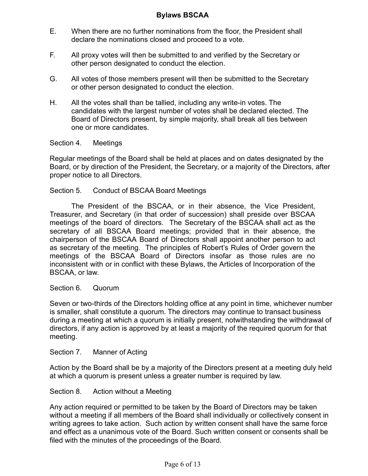- E. When there are no further nominations from the floor, the President shall declare the nominations closed and proceed to a vote.
- F. All proxy votes will then be submitted to and verified by the Secretary or other person designated to conduct the election.
- G. All votes of those members present will then be submitted to the Secretary or other person designated to conduct the election.
- H. All the votes shall than be tallied, including any write-in votes. The candidates with the largest number of votes shall be declared elected. The Board of Directors present, by simple majority, shall break all ties between one or more candidates.

#### Section 4. Meetings

Regular meetings of the Board shall be held at places and on dates designated by the Board, or by direction of the President, the Secretary, or a majority of the Directors, after proper notice to all Directors.

#### Section 5. Conduct of BSCAA Board Meetings

The President of the BSCAA, or in their absence, the Vice President, Treasurer, and Secretary (in that order of succession) shall preside over BSCAA meetings of the board of directors. The Secretary of the BSCAA shall act as the secretary of all BSCAA Board meetings; provided that in their absence, the chairperson of the BSCAA Board of Directors shall appoint another person to act as secretary of the meeting. The principles of Robert's Rules of Order govern the meetings of the BSCAA Board of Directors insofar as those rules are no inconsistent with or in conflict with these Bylaws, the Articles of Incorporation of the BSCAA, or law.

#### Section 6. Quorum

Seven or two-thirds of the Directors holding office at any point in time, whichever number is smaller, shall constitute a quorum. The directors may continue to transact business during a meeting at which a quorum is initially present, notwithstanding the withdrawal of directors, if any action is approved by at least a majority of the required quorum for that meeting.

#### Section 7. Manner of Acting

Action by the Board shall be by a majority of the Directors present at a meeting duly held at which a quorum is present unless a greater number is required by law.

#### Section 8. Action without a Meeting

Any action required or permitted to be taken by the Board of Directors may be taken without a meeting if all members of the Board shall individually or collectively consent in writing agrees to take action. Such action by written consent shall have the same force and effect as a unanimous vote of the Board. Such written consent or consents shall be filed with the minutes of the proceedings of the Board.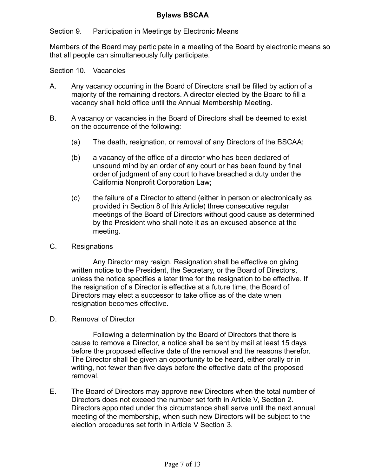Section 9. Participation in Meetings by Electronic Means

Members of the Board may participate in a meeting of the Board by electronic means so that all people can simultaneously fully participate.

Section 10. Vacancies

- A. Any vacancy occurring in the Board of Directors shall be filled by action of a majority of the remaining directors. A director elected by the Board to fill a vacancy shall hold office until the Annual Membership Meeting.
- B. A vacancy or vacancies in the Board of Directors shall be deemed to exist on the occurrence of the following:
	- (a) The death, resignation, or removal of any Directors of the BSCAA;
	- (b) a vacancy of the office of a director who has been declared of unsound mind by an order of any court or has been found by final order of judgment of any court to have breached a duty under the California Nonprofit Corporation Law;
	- (c) the failure of a Director to attend (either in person or electronically as provided in Section 8 of this Article) three consecutive regular meetings of the Board of Directors without good cause as determined by the President who shall note it as an excused absence at the meeting.
- C. Resignations

Any Director may resign. Resignation shall be effective on giving written notice to the President, the Secretary, or the Board of Directors, unless the notice specifies a later time for the resignation to be effective. If the resignation of a Director is effective at a future time, the Board of Directors may elect a successor to take office as of the date when resignation becomes effective.

D. Removal of Director

Following a determination by the Board of Directors that there is cause to remove a Director, a notice shall be sent by mail at least 15 days before the proposed effective date of the removal and the reasons therefor. The Director shall be given an opportunity to be heard, either orally or in writing, not fewer than five days before the effective date of the proposed removal.

E. The Board of Directors may approve new Directors when the total number of Directors does not exceed the number set forth in Article V, Section 2. Directors appointed under this circumstance shall serve until the next annual meeting of the membership, when such new Directors will be subject to the election procedures set forth in Article V Section 3.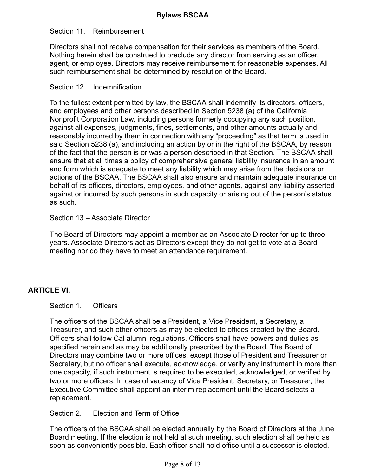### Section 11. Reimbursement

Directors shall not receive compensation for their services as members of the Board. Nothing herein shall be construed to preclude any director from serving as an officer, agent, or employee. Directors may receive reimbursement for reasonable expenses. All such reimbursement shall be determined by resolution of the Board.

## Section 12. Indemnification

To the fullest extent permitted by law, the BSCAA shall indemnify its directors, officers, and employees and other persons described in Section 5238 (a) of the California Nonprofit Corporation Law, including persons formerly occupying any such position, against all expenses, judgments, fines, settlements, and other amounts actually and reasonably incurred by them in connection with any "proceeding" as that term is used in said Section 5238 (a), and including an action by or in the right of the BSCAA, by reason of the fact that the person is or was a person described in that Section. The BSCAA shall ensure that at all times a policy of comprehensive general liability insurance in an amount and form which is adequate to meet any liability which may arise from the decisions or actions of the BSCAA. The BSCAA shall also ensure and maintain adequate insurance on behalf of its officers, directors, employees, and other agents, against any liability asserted against or incurred by such persons in such capacity or arising out of the person's status as such.

### Section 13 – Associate Director

The Board of Directors may appoint a member as an Associate Director for up to three years. Associate Directors act as Directors except they do not get to vote at a Board meeting nor do they have to meet an attendance requirement.

# **ARTICLE VI.**

Section 1. Officers

The officers of the BSCAA shall be a President, a Vice President, a Secretary, a Treasurer, and such other officers as may be elected to offices created by the Board. Officers shall follow Cal alumni regulations. Officers shall have powers and duties as specified herein and as may be additionally prescribed by the Board. The Board of Directors may combine two or more offices, except those of President and Treasurer or Secretary, but no officer shall execute, acknowledge, or verify any instrument in more than one capacity, if such instrument is required to be executed, acknowledged, or verified by two or more officers. In case of vacancy of Vice President, Secretary, or Treasurer, the Executive Committee shall appoint an interim replacement until the Board selects a replacement.

Section 2. Election and Term of Office

The officers of the BSCAA shall be elected annually by the Board of Directors at the June Board meeting. If the election is not held at such meeting, such election shall be held as soon as conveniently possible. Each officer shall hold office until a successor is elected,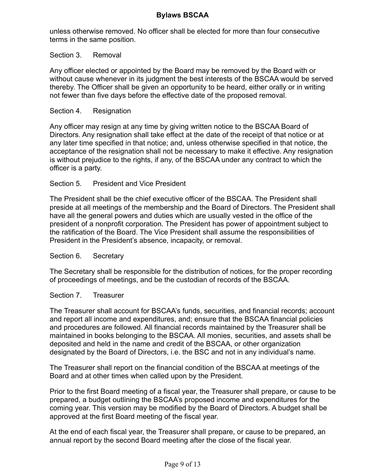unless otherwise removed. No officer shall be elected for more than four consecutive terms in the same position.

#### Section 3. Removal

Any officer elected or appointed by the Board may be removed by the Board with or without cause whenever in its judgment the best interests of the BSCAA would be served thereby. The Officer shall be given an opportunity to be heard, either orally or in writing not fewer than five days before the effective date of the proposed removal.

#### Section 4. Resignation

Any officer may resign at any time by giving written notice to the BSCAA Board of Directors. Any resignation shall take effect at the date of the receipt of that notice or at any later time specified in that notice; and, unless otherwise specified in that notice, the acceptance of the resignation shall not be necessary to make it effective. Any resignation is without prejudice to the rights, if any, of the BSCAA under any contract to which the officer is a party.

#### Section 5. President and Vice President

The President shall be the chief executive officer of the BSCAA. The President shall preside at all meetings of the membership and the Board of Directors. The President shall have all the general powers and duties which are usually vested in the office of the president of a nonprofit corporation. The President has power of appointment subject to the ratification of the Board. The Vice President shall assume the responsibilities of President in the President's absence, incapacity, or removal.

#### Section 6. Secretary

The Secretary shall be responsible for the distribution of notices, for the proper recording of proceedings of meetings, and be the custodian of records of the BSCAA.

## Section 7. Treasurer

The Treasurer shall account for BSCAA's funds, securities, and financial records; account and report all income and expenditures, and; ensure that the BSCAA financial policies and procedures are followed. All financial records maintained by the Treasurer shall be maintained in books belonging to the BSCAA. All monies, securities, and assets shall be deposited and held in the name and credit of the BSCAA, or other organization designated by the Board of Directors, i.e. the BSC and not in any individual's name.

The Treasurer shall report on the financial condition of the BSCAA at meetings of the Board and at other times when called upon by the President.

Prior to the first Board meeting of a fiscal year, the Treasurer shall prepare, or cause to be prepared, a budget outlining the BSCAA's proposed income and expenditures for the coming year. This version may be modified by the Board of Directors. A budget shall be approved at the first Board meeting of the fiscal year.

At the end of each fiscal year, the Treasurer shall prepare, or cause to be prepared, an annual report by the second Board meeting after the close of the fiscal year.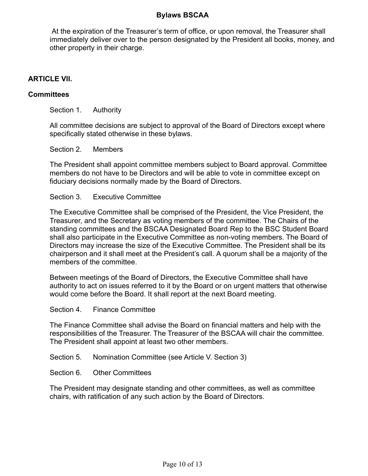At the expiration of the Treasurer's term of office, or upon removal, the Treasurer shall immediately deliver over to the person designated by the President all books, money, and other property in their charge.

# **ARTICLE VII.**

#### **Committees**

Section 1. Authority

All committee decisions are subject to approval of the Board of Directors except where specifically stated otherwise in these bylaws.

Section 2. Members

The President shall appoint committee members subject to Board approval. Committee members do not have to be Directors and will be able to vote in committee except on fiduciary decisions normally made by the Board of Directors.

#### Section 3. Executive Committee

The Executive Committee shall be comprised of the President, the Vice President, the Treasurer, and the Secretary as voting members of the committee. The Chairs of the standing committees and the BSCAA Designated Board Rep to the BSC Student Board shall also participate in the Executive Committee as non-voting members. The Board of Directors may increase the size of the Executive Committee. The President shall be its chairperson and it shall meet at the President's call. A quorum shall be a majority of the members of the committee.

Between meetings of the Board of Directors, the Executive Committee shall have authority to act on issues referred to it by the Board or on urgent matters that otherwise would come before the Board. It shall report at the next Board meeting.

Section 4. Finance Committee

The Finance Committee shall advise the Board on financial matters and help with the responsibilities of the Treasurer. The Treasurer of the BSCAA will chair the committee. The President shall appoint at least two other members.

Section 5. Nomination Committee (see Article V. Section 3)

Section 6. Other Committees

The President may designate standing and other committees, as well as committee chairs, with ratification of any such action by the Board of Directors.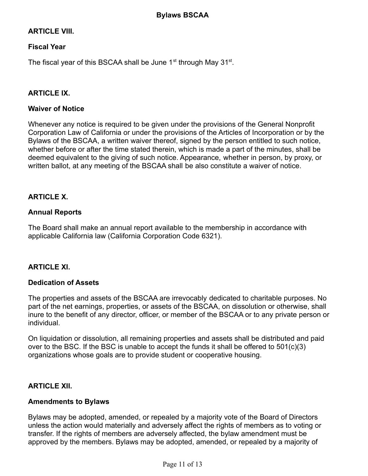# **ARTICLE VIII.**

# **Fiscal Year**

The fiscal year of this BSCAA shall be June  $1<sup>st</sup>$  through May  $31<sup>st</sup>$ .

# **ARTICLE IX.**

#### **Waiver of Notice**

Whenever any notice is required to be given under the provisions of the General Nonprofit Corporation Law of California or under the provisions of the Articles of Incorporation or by the Bylaws of the BSCAA, a written waiver thereof, signed by the person entitled to such notice, whether before or after the time stated therein, which is made a part of the minutes, shall be deemed equivalent to the giving of such notice. Appearance, whether in person, by proxy, or written ballot, at any meeting of the BSCAA shall be also constitute a waiver of notice.

# **ARTICLE X.**

### **Annual Reports**

The Board shall make an annual report available to the membership in accordance with applicable California law (California Corporation Code 6321).

### **ARTICLE XI.**

### **Dedication of Assets**

The properties and assets of the BSCAA are irrevocably dedicated to charitable purposes. No part of the net earnings, properties, or assets of the BSCAA, on dissolution or otherwise, shall inure to the benefit of any director, officer, or member of the BSCAA or to any private person or individual.

On liquidation or dissolution, all remaining properties and assets shall be distributed and paid over to the BSC. If the BSC is unable to accept the funds it shall be offered to 501(c)(3) organizations whose goals are to provide student or cooperative housing.

### **ARTICLE XII.**

#### **Amendments to Bylaws**

Bylaws may be adopted, amended, or repealed by a majority vote of the Board of Directors unless the action would materially and adversely affect the rights of members as to voting or transfer. If the rights of members are adversely affected, the bylaw amendment must be approved by the members. Bylaws may be adopted, amended, or repealed by a majority of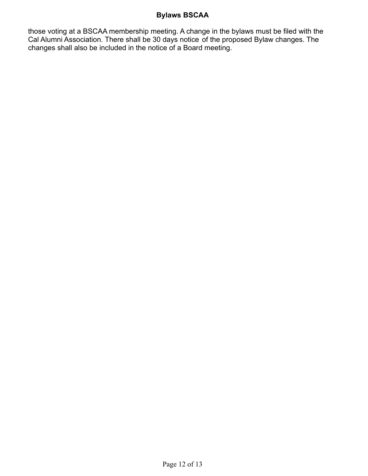those voting at a BSCAA membership meeting. A change in the bylaws must be filed with the Cal Alumni Association. There shall be 30 days notice of the proposed Bylaw changes. The changes shall also be included in the notice of a Board meeting.